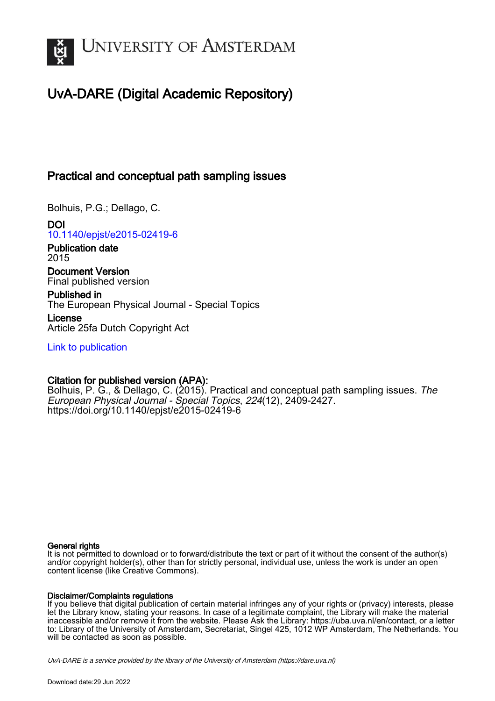

# UvA-DARE (Digital Academic Repository)

## Practical and conceptual path sampling issues

Bolhuis, P.G.; Dellago, C.

DOI [10.1140/epjst/e2015-02419-6](https://doi.org/10.1140/epjst/e2015-02419-6)

Publication date 2015

Document Version Final published version

Published in The European Physical Journal - Special Topics

License Article 25fa Dutch Copyright Act

[Link to publication](https://dare.uva.nl/personal/pure/en/publications/practical-and-conceptual-path-sampling-issues(8e1d3359-ad26-4709-95d9-f60900e39143).html)

## Citation for published version (APA):

Bolhuis, P. G., & Dellago, C. (2015). Practical and conceptual path sampling issues. The European Physical Journal - Special Topics, 224(12), 2409-2427. <https://doi.org/10.1140/epjst/e2015-02419-6>

## General rights

It is not permitted to download or to forward/distribute the text or part of it without the consent of the author(s) and/or copyright holder(s), other than for strictly personal, individual use, unless the work is under an open content license (like Creative Commons).

## Disclaimer/Complaints regulations

If you believe that digital publication of certain material infringes any of your rights or (privacy) interests, please let the Library know, stating your reasons. In case of a legitimate complaint, the Library will make the material inaccessible and/or remove it from the website. Please Ask the Library: https://uba.uva.nl/en/contact, or a letter to: Library of the University of Amsterdam, Secretariat, Singel 425, 1012 WP Amsterdam, The Netherlands. You will be contacted as soon as possible.

UvA-DARE is a service provided by the library of the University of Amsterdam (http*s*://dare.uva.nl)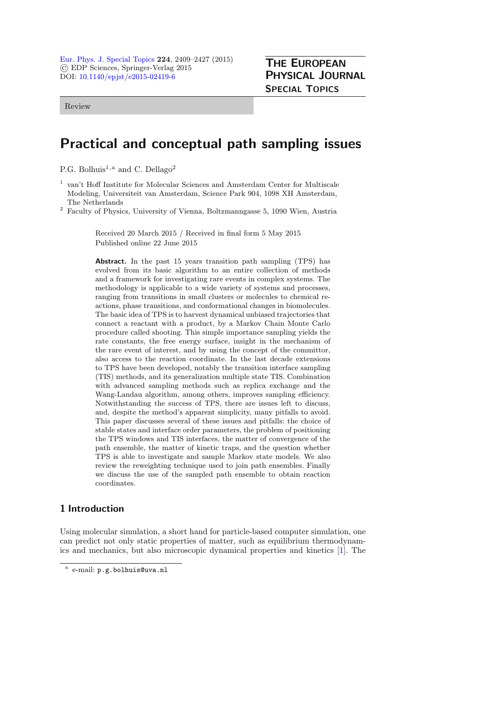THE EUROPEAN PHYSICAL JOURNAL SPECIAL TOPICS

Review

# Practical and conceptual path sampling issues

P.G. Bolhuis<sup>1,a</sup> and C. Dellago<sup>2</sup>

<sup>1</sup> van't Hoff Institute for Molecular Sciences and Amsterdam Center for Multiscale Modeling, Universiteit van Amsterdam, Science Park 904, 1098 XH Amsterdam, The Netherlands

<sup>2</sup> Faculty of Physics, University of Vienna, Boltzmanngasse 5, 1090 Wien, Austria

Received 20 March 2015 / Received in final form 5 May 2015 Published online 22 June 2015

Abstract. In the past 15 years transition path sampling (TPS) has evolved from its basic algorithm to an entire collection of methods and a framework for investigating rare events in complex systems. The methodology is applicable to a wide variety of systems and processes, ranging from transitions in small clusters or molecules to chemical reactions, phase transitions, and conformational changes in biomolecules. The basic idea of TPS is to harvest dynamical unbiased trajectories that connect a reactant with a product, by a Markov Chain Monte Carlo procedure called shooting. This simple importance sampling yields the rate constants, the free energy surface, insight in the mechanism of the rare event of interest, and by using the concept of the committor, also access to the reaction coordinate. In the last decade extensions to TPS have been developed, notably the transition interface sampling (TIS) methods, and its generalization multiple state TIS. Combination with advanced sampling methods such as replica exchange and the Wang-Landau algorithm, among others, improves sampling efficiency. Notwithstanding the success of TPS, there are issues left to discuss, and, despite the method's apparent simplicity, many pitfalls to avoid. This paper discusses several of these issues and pitfalls: the choice of stable states and interface order parameters, the problem of positioning the TPS windows and TIS interfaces, the matter of convergence of the path ensemble, the matter of kinetic traps, and the question whether TPS is able to investigate and sample Markov state models. We also review the reweighting technique used to join path ensembles. Finally we discuss the use of the sampled path ensemble to obtain reaction coordinates.

## 1 Introduction

Using molecular simulation, a short hand for particle-based computer simulation, one can predict not only static properties of matter, such as equilibrium thermodynamics and mechanics, but also microscopic dynamical properties and kinetics [\[1\]](#page-17-0). The

<sup>a</sup> e-mail: p.g.bolhuis@uva.nl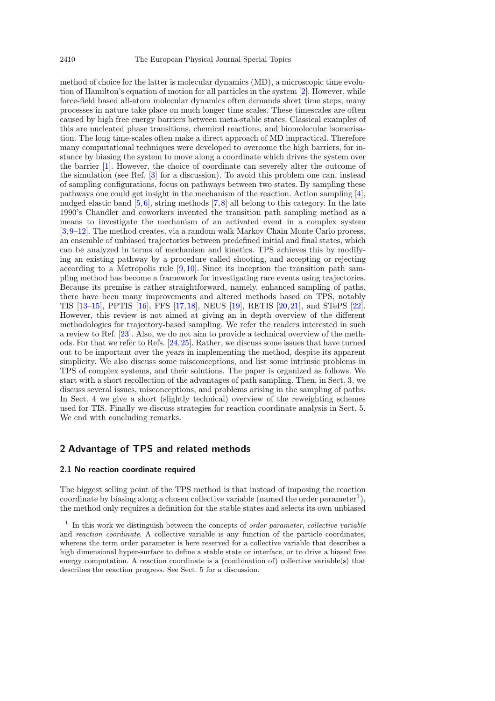method of choice for the latter is molecular dynamics (MD), a microscopic time evolution of Hamilton's equation of motion for all particles in the system [\[2](#page-17-1)]. However, while force-field based all-atom molecular dynamics often demands short time steps, many processes in nature take place on much longer time scales. These timescales are often caused by high free energy barriers between meta-stable states. Classical examples of this are nucleated phase transitions, chemical reactions, and biomolecular isomerisation. The long time-scales often make a direct approach of MD impractical. Therefore many computational techniques were developed to overcome the high barriers, for instance by biasing the system to move along a coordinate which drives the system over the barrier [\[1\]](#page-17-0). However, the choice of coordinate can severely alter the outcome of the simulation (see Ref. [\[3\]](#page-17-2) for a discussion). To avoid this problem one can, instead of sampling configurations, focus on pathways between two states. By sampling these pathways one could get insight in the mechanism of the reaction. Action sampling [\[4](#page-18-0)], nudged elastic band [\[5,](#page-18-1)[6\]](#page-18-2), string methods [\[7,](#page-18-3)[8\]](#page-18-4) all belong to this category. In the late 1990's Chandler and coworkers invented the transition path sampling method as a means to investigate the mechanism of an activated event in a complex system [\[3,](#page-17-2)[9](#page-18-5)[–12](#page-18-6)]. The method creates, via a random walk Markov Chain Monte Carlo process, an ensemble of unbiased trajectories between predefined initial and final states, which can be analyzed in terms of mechanism and kinetics. TPS achieves this by modifying an existing pathway by a procedure called shooting, and accepting or rejecting according to a Metropolis rule  $[9,10]$  $[9,10]$  $[9,10]$ . Since its inception the transition path sampling method has become a framework for investigating rare events using trajectories. Because its premise is rather straightforward, namely, enhanced sampling of paths, there have been many improvements and altered methods based on TPS, notably TIS [\[13](#page-18-8)[–15](#page-18-9)], PPTIS [\[16](#page-18-10)], FFS [\[17](#page-18-11),[18\]](#page-18-12), NEUS [\[19](#page-18-13)], RETIS [\[20](#page-18-14)[,21](#page-18-15)], and STePS [\[22](#page-18-16)]. However, this review is not aimed at giving an in depth overview of the different methodologies for trajectory-based sampling. We refer the readers interested in such a review to Ref. [\[23](#page-18-17)]. Also, we do not aim to provide a technical overview of the methods. For that we refer to Refs. [\[24](#page-18-18)[,25](#page-18-19)]. Rather, we discuss some issues that have turned out to be important over the years in implementing the method, despite its apparent simplicity. We also discuss some misconceptions, and list some intrinsic problems in TPS of complex systems, and their solutions. The paper is organized as follows. We start with a short recollection of the advantages of path sampling. Then, in Sect. 3, we discuss several issues, misconceptions, and problems arising in the sampling of paths. In Sect. 4 we give a short (slightly technical) overview of the reweighting schemes used for TIS. Finally we discuss strategies for reaction coordinate analysis in Sect. 5. We end with concluding remarks.

## 2 Advantage of TPS and related methods

## 2.1 No reaction coordinate required

The biggest selling point of the TPS method is that instead of imposing the reaction coordinate by biasing along a chosen collective variable (named the order parameter<sup>1</sup>), the method only requires a definition for the stable states and selects its own unbiased

 $1$  In this work we distinguish between the concepts of *order parameter*, *collective variable* and reaction coordinate. A collective variable is any function of the particle coordinates, whereas the term order parameter is here reserved for a collective variable that describes a high dimensional hyper-surface to define a stable state or interface, or to drive a biased free energy computation. A reaction coordinate is a (combination of) collective variable(s) that describes the reaction progress. See Sect. 5 for a discussion.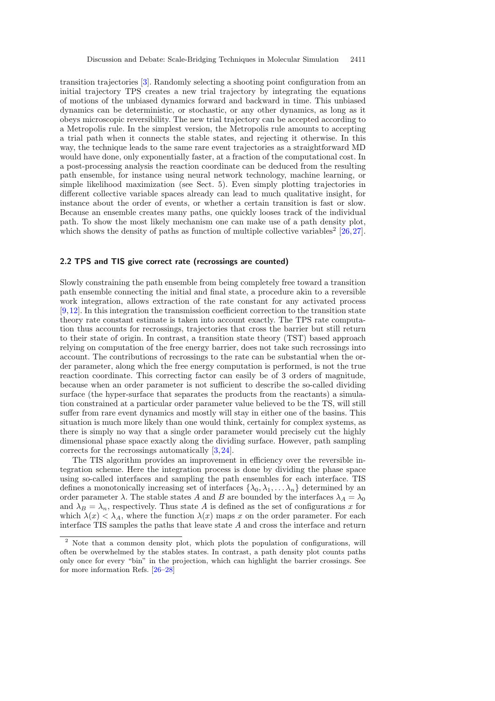transition trajectories [\[3\]](#page-17-2). Randomly selecting a shooting point configuration from an initial trajectory TPS creates a new trial trajectory by integrating the equations of motions of the unbiased dynamics forward and backward in time. This unbiased dynamics can be deterministic, or stochastic, or any other dynamics, as long as it obeys microscopic reversibility. The new trial trajectory can be accepted according to a Metropolis rule. In the simplest version, the Metropolis rule amounts to accepting a trial path when it connects the stable states, and rejecting it otherwise. In this way, the technique leads to the same rare event trajectories as a straightforward MD would have done, only exponentially faster, at a fraction of the computational cost. In a post-processing analysis the reaction coordinate can be deduced from the resulting path ensemble, for instance using neural network technology, machine learning, or simple likelihood maximization (see Sect. 5). Even simply plotting trajectories in different collective variable spaces already can lead to much qualitative insight, for instance about the order of events, or whether a certain transition is fast or slow. Because an ensemble creates many paths, one quickly looses track of the individual path. To show the most likely mechanism one can make use of a path density plot, which shows the density of paths as function of multiple collective variables<sup>2</sup> [\[26](#page-18-20)[,27](#page-18-21)].

#### 2.2 TPS and TIS give correct rate (recrossings are counted)

Slowly constraining the path ensemble from being completely free toward a transition path ensemble connecting the initial and final state, a procedure akin to a reversible work integration, allows extraction of the rate constant for any activated process [\[9,](#page-18-5)[12](#page-18-6)]. In this integration the transmission coefficient correction to the transition state theory rate constant estimate is taken into account exactly. The TPS rate computation thus accounts for recrossings, trajectories that cross the barrier but still return to their state of origin. In contrast, a transition state theory (TST) based approach relying on computation of the free energy barrier, does not take such recrossings into account. The contributions of recrossings to the rate can be substantial when the order parameter, along which the free energy computation is performed, is not the true reaction coordinate. This correcting factor can easily be of 3 orders of magnitude, because when an order parameter is not sufficient to describe the so-called dividing surface (the hyper-surface that separates the products from the reactants) a simulation constrained at a particular order parameter value believed to be the TS, will still suffer from rare event dynamics and mostly will stay in either one of the basins. This situation is much more likely than one would think, certainly for complex systems, as there is simply no way that a single order parameter would precisely cut the highly dimensional phase space exactly along the dividing surface. However, path sampling corrects for the recrossings automatically [\[3](#page-17-2),[24\]](#page-18-18).

The TIS algorithm provides an improvement in efficiency over the reversible integration scheme. Here the integration process is done by dividing the phase space using so-called interfaces and sampling the path ensembles for each interface. TIS defines a monotonically increasing set of interfaces  $\{\lambda_0, \lambda_1, \ldots, \lambda_n\}$  determined by an order parameter  $\lambda$ . The stable states A and B are bounded by the interfaces  $\lambda_A = \lambda_0$ and  $\lambda_B = \lambda_n$ , respectively. Thus state A is defined as the set of configurations x for which  $\lambda(x) < \lambda_A$ , where the function  $\lambda(x)$  maps x on the order parameter. For each interface TIS samples the paths that leave state A and cross the interface and return

<sup>&</sup>lt;sup>2</sup> Note that a common density plot, which plots the population of configurations, will often be overwhelmed by the stables states. In contrast, a path density plot counts paths only once for every "bin" in the projection, which can highlight the barrier crossings. See for more information Refs. [\[26](#page-18-20)[–28\]](#page-18-22)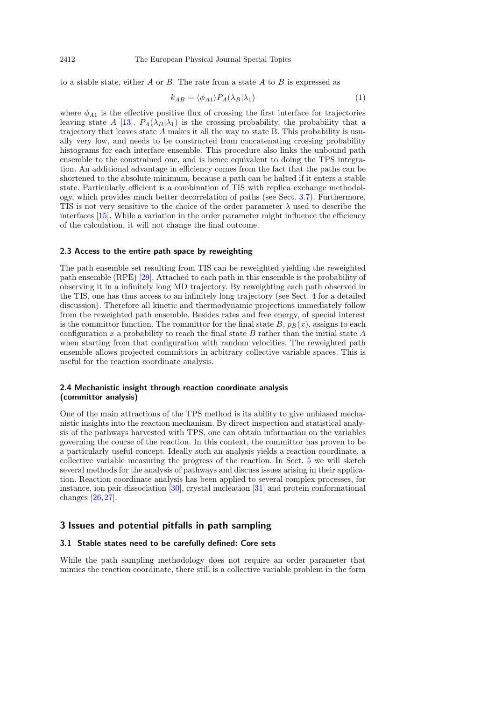to a stable state, either A or B. The rate from a state A to B is expressed as

<span id="page-4-0"></span>
$$
k_{AB} = \langle \phi_{A1} \rangle P_A(\lambda_B | \lambda_1) \tag{1}
$$

where  $\phi_{A1}$  is the effective positive flux of crossing the first interface for trajectories leaving state A [\[13](#page-18-8)].  $P_A(\lambda_B|\lambda_1)$  is the crossing probability, the probability that a trajectory that leaves state A makes it all the way to state B. This probability is usually very low, and needs to be constructed from concatenating crossing probability histograms for each interface ensemble. This procedure also links the unbound path ensemble to the constrained one, and is hence equivalent to doing the TPS integration. An additional advantage in efficiency comes from the fact that the paths can be shortened to the absolute minimum, because a path can be halted if it enters a stable state. Particularly efficient is a combination of TIS with replica exchange methodology, which provides much better decorrelation of paths (see Sect. [3.7\)](#page-10-0). Furthermore, TIS is not very sensitive to the choice of the order parameter  $\lambda$  used to describe the interfaces [\[15\]](#page-18-9). While a variation in the order parameter might influence the efficiency of the calculation, it will not change the final outcome.

#### 2.3 Access to the entire path space by reweighting

The path ensemble set resulting from TIS can be reweighted yielding the reweighted path ensemble (RPE) [\[29\]](#page-18-23). Attached to each path in this ensemble is the probability of observing it in a infinitely long MD trajectory. By reweighting each path observed in the TIS, one has thus access to an infinitely long trajectory (see Sect. 4 for a detailed discussion). Therefore all kinetic and thermodynamic projections immediately follow from the reweighted path ensemble. Besides rates and free energy, of special interest is the committor function. The committor for the final state  $B, p_B(x)$ , assigns to each configuration x a probability to reach the final state B rather than the initial state  $A$ when starting from that configuration with random velocities. The reweighted path ensemble allows projected committors in arbitrary collective variable spaces. This is useful for the reaction coordinate analysis.

## 2.4 Mechanistic insight through reaction coordinate analysis (committor analysis)

One of the main attractions of the TPS method is its ability to give unbiased mechanistic insights into the reaction mechanism. By direct inspection and statistical analysis of the pathways harvested with TPS, one can obtain information on the variables governing the course of the reaction. In this context, the committor has proven to be a particularly useful concept. Ideally such an analysis yields a reaction coordinate, a collective variable measuring the progress of the reaction. In Sect. [5](#page-15-0) we will sketch several methods for the analysis of pathways and discuss issues arising in their application. Reaction coordinate analysis has been applied to several complex processes, for instance, ion pair dissociation [\[30\]](#page-18-24), crystal nucleation [\[31](#page-18-25)] and protein conformational changes [\[26,](#page-18-20)[27](#page-18-21)].

## 3 Issues and potential pitfalls in path sampling

## 3.1 Stable states need to be carefully defined: Core sets

While the path sampling methodology does not require an order parameter that mimics the reaction coordinate, there still is a collective variable problem in the form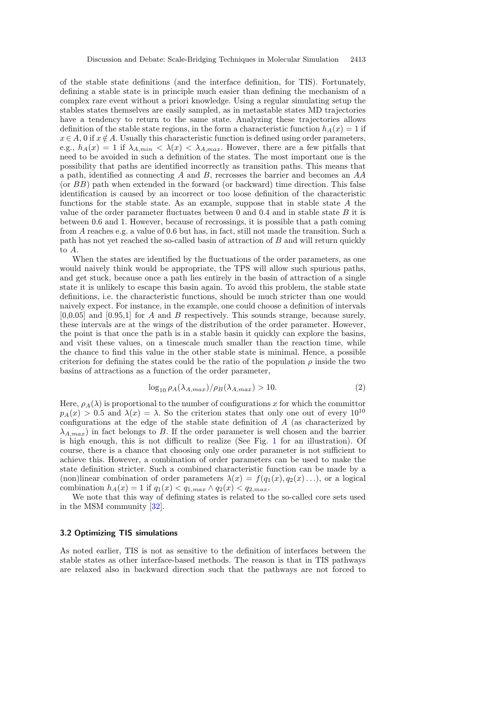of the stable state definitions (and the interface definition, for TIS). Fortunately, defining a stable state is in principle much easier than defining the mechanism of a complex rare event without a priori knowledge. Using a regular simulating setup the stables states themselves are easily sampled, as in metastable states MD trajectories have a tendency to return to the same state. Analyzing these trajectories allows definition of the stable state regions, in the form a characteristic function  $h_A(x) = 1$  if  $x \in A$ , 0 if  $x \notin A$ . Usually this characteristic function is defined using order parameters, e.g.,  $h_A(x) = 1$  if  $\lambda_{A,min} < \lambda(x) < \lambda_{A,max}$ . However, there are a few pitfalls that need to be avoided in such a definition of the states. The most important one is the possibility that paths are identified incorrectly as transition paths. This means that a path, identified as connecting  $A$  and  $B$ , recrosses the barrier and becomes an  $AA$ (or BB) path when extended in the forward (or backward) time direction. This false identification is caused by an incorrect or too loose definition of the characteristic functions for the stable state. As an example, suppose that in stable state A the value of the order parameter fluctuates between 0 and 0.4 and in stable state  $B$  it is between 0.6 and 1. However, because of recrossings, it is possible that a path coming from A reaches e.g. a value of 0.6 but has, in fact, still not made the transition. Such a path has not yet reached the so-called basin of attraction of B and will return quickly to A.

When the states are identified by the fluctuations of the order parameters, as one would naively think would be appropriate, the TPS will allow such spurious paths, and get stuck, because once a path lies entirely in the basin of attraction of a single state it is unlikely to escape this basin again. To avoid this problem, the stable state definitions, i.e. the characteristic functions, should be much stricter than one would naively expect. For instance, in the example, one could choose a definition of intervals  $[0,0.05]$  and  $[0.95,1]$  for A and B respectively. This sounds strange, because surely, these intervals are at the wings of the distribution of the order parameter. However, the point is that once the path is in a stable basin it quickly can explore the basins, and visit these values, on a timescale much smaller than the reaction time, while the chance to find this value in the other stable state is minimal. Hence, a possible criterion for defining the states could be the ratio of the population  $\rho$  inside the two basins of attractions as a function of the order parameter,

$$
\log_{10} \rho_A(\lambda_{A,max})/\rho_B(\lambda_{A,max}) > 10. \tag{2}
$$

Here,  $\rho_A(\lambda)$  is proportional to the number of configurations x for which the committor  $p_A(x) > 0.5$  and  $\lambda(x) = \lambda$ . So the criterion states that only one out of every 10<sup>10</sup> configurations at the edge of the stable state definition of A (as characterized by  $\lambda_{A, max}$ ) in fact belongs to B. If the order parameter is well chosen and the barrier is high enough, this is not difficult to realize (See Fig. [1](#page-6-0) for an illustration). Of course, there is a chance that choosing only one order parameter is not sufficient to achieve this. However, a combination of order parameters can be used to make the state definition stricter. Such a combined characteristic function can be made by a (non)linear combination of order parameters  $\lambda(x) = f(q_1(x), q_2(x)...)$ , or a logical combination  $h_A(x) = 1$  if  $q_1(x) < q_1_{max} \wedge q_2(x) < q_2_{max}$ .

We note that this way of defining states is related to the so-called core sets used in the MSM community [\[32](#page-18-26)].

## 3.2 Optimizing TIS simulations

As noted earlier, TIS is not as sensitive to the definition of interfaces between the stable states as other interface-based methods. The reason is that in TIS pathways are relaxed also in backward direction such that the pathways are not forced to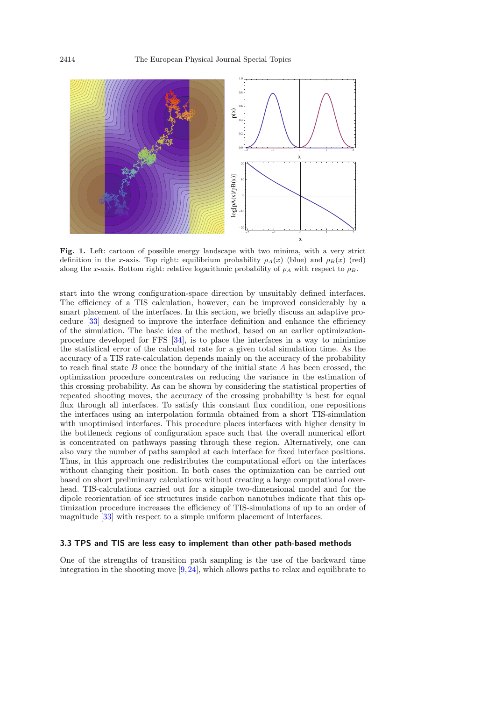<span id="page-6-0"></span>

**Fig. 1.** Left: cartoon of possible energy landscape with two minima, with a very strict definition in the x-axis. Top right: equilibrium probability  $\rho_A(x)$  (blue) and  $\rho_B(x)$  (red) along the x-axis. Bottom right: relative logarithmic probability of  $\rho_A$  with respect to  $\rho_B$ .

start into the wrong configuration-space direction by unsuitably defined interfaces. The efficiency of a TIS calculation, however, can be improved considerably by a smart placement of the interfaces. In this section, we briefly discuss an adaptive procedure [\[33](#page-18-27)] designed to improve the interface definition and enhance the efficiency of the simulation. The basic idea of the method, based on an earlier optimizationprocedure developed for FFS [\[34\]](#page-18-28), is to place the interfaces in a way to minimize the statistical error of the calculated rate for a given total simulation time. As the accuracy of a TIS rate-calculation depends mainly on the accuracy of the probability to reach final state  $B$  once the boundary of the initial state  $A$  has been crossed, the optimization procedure concentrates on reducing the variance in the estimation of this crossing probability. As can be shown by considering the statistical properties of repeated shooting moves, the accuracy of the crossing probability is best for equal flux through all interfaces. To satisfy this constant flux condition, one repositions the interfaces using an interpolation formula obtained from a short TIS-simulation with unoptimised interfaces. This procedure places interfaces with higher density in the bottleneck regions of configuration space such that the overall numerical effort is concentrated on pathways passing through these region. Alternatively, one can also vary the number of paths sampled at each interface for fixed interface positions. Thus, in this approach one redistributes the computational effort on the interfaces without changing their position. In both cases the optimization can be carried out based on short preliminary calculations without creating a large computational overhead. TIS-calculations carried out for a simple two-dimensional model and for the dipole reorientation of ice structures inside carbon nanotubes indicate that this optimization procedure increases the efficiency of TIS-simulations of up to an order of magnitude [\[33](#page-18-27)] with respect to a simple uniform placement of interfaces.

### 3.3 TPS and TIS are less easy to implement than other path-based methods

One of the strengths of transition path sampling is the use of the backward time integration in the shooting move  $[9,24]$  $[9,24]$  $[9,24]$ , which allows paths to relax and equilibrate to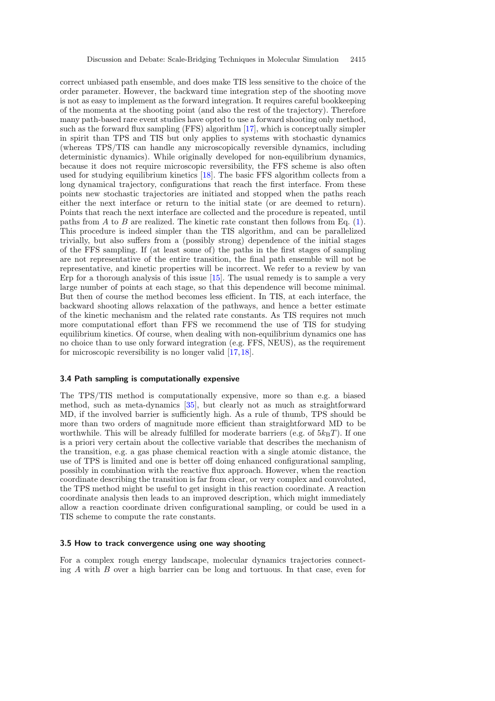correct unbiased path ensemble, and does make TIS less sensitive to the choice of the order parameter. However, the backward time integration step of the shooting move is not as easy to implement as the forward integration. It requires careful bookkeeping of the momenta at the shooting point (and also the rest of the trajectory). Therefore many path-based rare event studies have opted to use a forward shooting only method, such as the forward flux sampling (FFS) algorithm [\[17](#page-18-11)], which is conceptually simpler in spirit than TPS and TIS but only applies to systems with stochastic dynamics (whereas TPS/TIS can handle any microscopically reversible dynamics, including deterministic dynamics). While originally developed for non-equilibrium dynamics, because it does not require microscopic reversibility, the FFS scheme is also often used for studying equilibrium kinetics [\[18](#page-18-12)]. The basic FFS algorithm collects from a long dynamical trajectory, configurations that reach the first interface. From these points new stochastic trajectories are initiated and stopped when the paths reach either the next interface or return to the initial state (or are deemed to return). Points that reach the next interface are collected and the procedure is repeated, until paths from  $A$  to  $B$  are realized. The kinetic rate constant then follows from Eq. [\(1\)](#page-4-0). This procedure is indeed simpler than the TIS algorithm, and can be parallelized trivially, but also suffers from a (possibly strong) dependence of the initial stages of the FFS sampling. If (at least some of) the paths in the first stages of sampling are not representative of the entire transition, the final path ensemble will not be representative, and kinetic properties will be incorrect. We refer to a review by van Erp for a thorough analysis of this issue [\[15\]](#page-18-9). The usual remedy is to sample a very large number of points at each stage, so that this dependence will become minimal. But then of course the method becomes less efficient. In TIS, at each interface, the backward shooting allows relaxation of the pathways, and hence a better estimate of the kinetic mechanism and the related rate constants. As TIS requires not much more computational effort than FFS we recommend the use of TIS for studying equilibrium kinetics. Of course, when dealing with non-equilibrium dynamics one has no choice than to use only forward integration (e.g. FFS, NEUS), as the requirement for microscopic reversibility is no longer valid [\[17,](#page-18-11)[18\]](#page-18-12).

## 3.4 Path sampling is computationally expensive

The TPS/TIS method is computationally expensive, more so than e.g. a biased method, such as meta-dynamics [\[35\]](#page-18-29), but clearly not as much as straightforward MD, if the involved barrier is sufficiently high. As a rule of thumb, TPS should be more than two orders of magnitude more efficient than straightforward MD to be worthwhile. This will be already fulfilled for moderate barriers (e.g. of  $5k_BT$ ). If one is a priori very certain about the collective variable that describes the mechanism of the transition, e.g. a gas phase chemical reaction with a single atomic distance, the use of TPS is limited and one is better off doing enhanced configurational sampling, possibly in combination with the reactive flux approach. However, when the reaction coordinate describing the transition is far from clear, or very complex and convoluted, the TPS method might be useful to get insight in this reaction coordinate. A reaction coordinate analysis then leads to an improved description, which might immediately allow a reaction coordinate driven configurational sampling, or could be used in a TIS scheme to compute the rate constants.

#### 3.5 How to track convergence using one way shooting

For a complex rough energy landscape, molecular dynamics trajectories connecting A with B over a high barrier can be long and tortuous. In that case, even for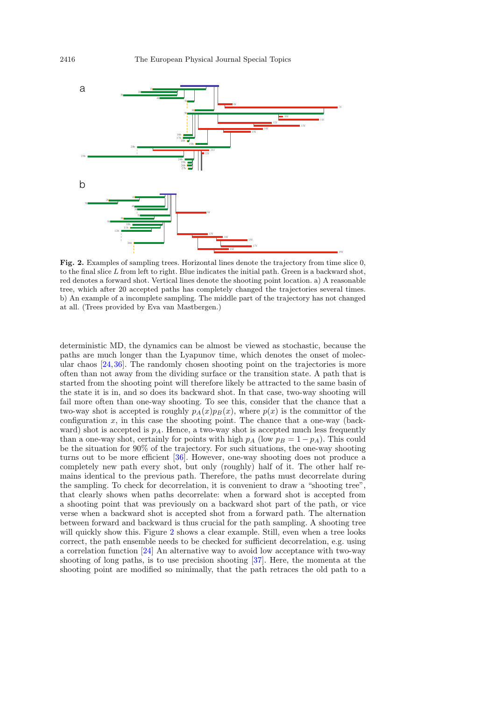<span id="page-8-0"></span>

Fig. 2. Examples of sampling trees. Horizontal lines denote the trajectory from time slice 0, to the final slice  $L$  from left to right. Blue indicates the initial path. Green is a backward shot, red denotes a forward shot. Vertical lines denote the shooting point location. a) A reasonable tree, which after 20 accepted paths has completely changed the trajectories several times. b) An example of a incomplete sampling. The middle part of the trajectory has not changed at all. (Trees provided by Eva van Mastbergen.)

deterministic MD, the dynamics can be almost be viewed as stochastic, because the paths are much longer than the Lyapunov time, which denotes the onset of molecular chaos [\[24](#page-18-18)[,36\]](#page-18-30). The randomly chosen shooting point on the trajectories is more often than not away from the dividing surface or the transition state. A path that is started from the shooting point will therefore likely be attracted to the same basin of the state it is in, and so does its backward shot. In that case, two-way shooting will fail more often than one-way shooting. To see this, consider that the chance that a two-way shot is accepted is roughly  $p_A(x)p_B(x)$ , where  $p(x)$  is the committor of the configuration  $x$ , in this case the shooting point. The chance that a one-way (backward) shot is accepted is  $p_A$ . Hence, a two-way shot is accepted much less frequently than a one-way shot, certainly for points with high  $p_A$  (low  $p_B = 1 - p_A$ ). This could be the situation for 90% of the trajectory. For such situations, the one-way shooting turns out to be more efficient [\[36\]](#page-18-30). However, one-way shooting does not produce a completely new path every shot, but only (roughly) half of it. The other half remains identical to the previous path. Therefore, the paths must decorrelate during the sampling. To check for decorrelation, it is convenient to draw a "shooting tree", that clearly shows when paths decorrelate: when a forward shot is accepted from a shooting point that was previously on a backward shot part of the path, or vice verse when a backward shot is accepted shot from a forward path. The alternation between forward and backward is thus crucial for the path sampling. A shooting tree will quickly show this. Figure [2](#page-8-0) shows a clear example. Still, even when a tree looks correct, the path ensemble needs to be checked for sufficient decorrelation, e.g. using a correlation function [\[24\]](#page-18-18) An alternative way to avoid low acceptance with two-way shooting of long paths, is to use precision shooting [\[37\]](#page-18-31). Here, the momenta at the shooting point are modified so minimally, that the path retraces the old path to a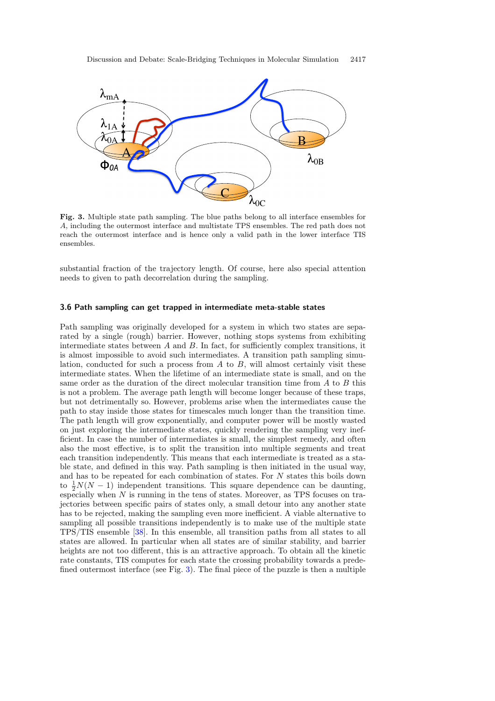<span id="page-9-0"></span>

Fig. 3. Multiple state path sampling. The blue paths belong to all interface ensembles for A, including the outermost interface and multistate TPS ensembles. The red path does not reach the outermost interface and is hence only a valid path in the lower interface TIS ensembles.

substantial fraction of the trajectory length. Of course, here also special attention needs to given to path decorrelation during the sampling.

#### 3.6 Path sampling can get trapped in intermediate meta-stable states

Path sampling was originally developed for a system in which two states are separated by a single (rough) barrier. However, nothing stops systems from exhibiting intermediate states between  $A$  and  $B$ . In fact, for sufficiently complex transitions, it is almost impossible to avoid such intermediates. A transition path sampling simulation, conducted for such a process from  $A$  to  $B$ , will almost certainly visit these intermediate states. When the lifetime of an intermediate state is small, and on the same order as the duration of the direct molecular transition time from A to B this is not a problem. The average path length will become longer because of these traps, but not detrimentally so. However, problems arise when the intermediates cause the path to stay inside those states for timescales much longer than the transition time. The path length will grow exponentially, and computer power will be mostly wasted on just exploring the intermediate states, quickly rendering the sampling very inefficient. In case the number of intermediates is small, the simplest remedy, and often also the most effective, is to split the transition into multiple segments and treat each transition independently. This means that each intermediate is treated as a stable state, and defined in this way. Path sampling is then initiated in the usual way, and has to be repeated for each combination of states. For N states this boils down to  $\frac{1}{2}N(N-1)$  independent transitions. This square dependence can be daunting, especially when  $N$  is running in the tens of states. Moreover, as TPS focuses on trajectories between specific pairs of states only, a small detour into any another state has to be rejected, making the sampling even more inefficient. A viable alternative to sampling all possible transitions independently is to make use of the multiple state TPS/TIS ensemble [\[38](#page-18-32)]. In this ensemble, all transition paths from all states to all states are allowed. In particular when all states are of similar stability, and barrier heights are not too different, this is an attractive approach. To obtain all the kinetic rate constants, TIS computes for each state the crossing probability towards a predefined outermost interface (see Fig. [3\)](#page-9-0). The final piece of the puzzle is then a multiple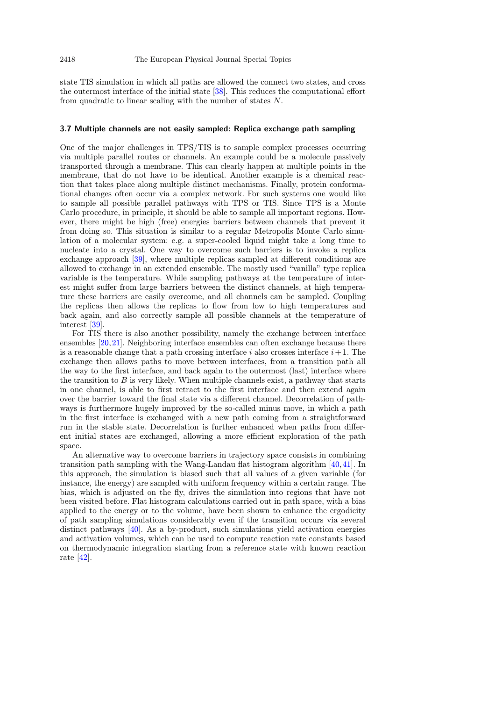state TIS simulation in which all paths are allowed the connect two states, and cross the outermost interface of the initial state [\[38](#page-18-32)]. This reduces the computational effort from quadratic to linear scaling with the number of states N.

#### <span id="page-10-0"></span>3.7 Multiple channels are not easily sampled: Replica exchange path sampling

One of the major challenges in TPS/TIS is to sample complex processes occurring via multiple parallel routes or channels. An example could be a molecule passively transported through a membrane. This can clearly happen at multiple points in the membrane, that do not have to be identical. Another example is a chemical reaction that takes place along multiple distinct mechanisms. Finally, protein conformational changes often occur via a complex network. For such systems one would like to sample all possible parallel pathways with TPS or TIS. Since TPS is a Monte Carlo procedure, in principle, it should be able to sample all important regions. However, there might be high (free) energies barriers between channels that prevent it from doing so. This situation is similar to a regular Metropolis Monte Carlo simulation of a molecular system: e.g. a super-cooled liquid might take a long time to nucleate into a crystal. One way to overcome such barriers is to invoke a replica exchange approach [\[39](#page-18-33)], where multiple replicas sampled at different conditions are allowed to exchange in an extended ensemble. The mostly used "vanilla" type replica variable is the temperature. While sampling pathways at the temperature of interest might suffer from large barriers between the distinct channels, at high temperature these barriers are easily overcome, and all channels can be sampled. Coupling the replicas then allows the replicas to flow from low to high temperatures and back again, and also correctly sample all possible channels at the temperature of interest [\[39\]](#page-18-33).

For TIS there is also another possibility, namely the exchange between interface ensembles [\[20,](#page-18-14)[21\]](#page-18-15). Neighboring interface ensembles can often exchange because there is a reasonable change that a path crossing interface i also crosses interface  $i+1$ . The exchange then allows paths to move between interfaces, from a transition path all the way to the first interface, and back again to the outermost (last) interface where the transition to  $B$  is very likely. When multiple channels exist, a pathway that starts in one channel, is able to first retract to the first interface and then extend again over the barrier toward the final state via a different channel. Decorrelation of pathways is furthermore hugely improved by the so-called minus move, in which a path in the first interface is exchanged with a new path coming from a straightforward run in the stable state. Decorrelation is further enhanced when paths from different initial states are exchanged, allowing a more efficient exploration of the path space.

An alternative way to overcome barriers in trajectory space consists in combining transition path sampling with the Wang-Landau flat histogram algorithm  $[40,41]$  $[40,41]$  $[40,41]$ . In this approach, the simulation is biased such that all values of a given variable (for instance, the energy) are sampled with uniform frequency within a certain range. The bias, which is adjusted on the fly, drives the simulation into regions that have not been visited before. Flat histogram calculations carried out in path space, with a bias applied to the energy or to the volume, have been shown to enhance the ergodicity of path sampling simulations considerably even if the transition occurs via several distinct pathways  $[40]$  $[40]$ . As a by-product, such simulations yield activation energies and activation volumes, which can be used to compute reaction rate constants based on thermodynamic integration starting from a reference state with known reaction rate [\[42](#page-18-36)].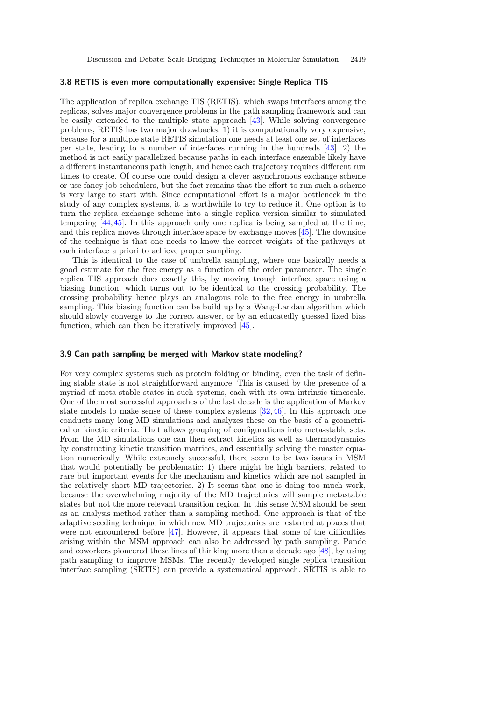## 3.8 RETIS is even more computationally expensive: Single Replica TIS

The application of replica exchange TIS (RETIS), which swaps interfaces among the replicas, solves major convergence problems in the path sampling framework and can be easily extended to the multiple state approach [\[43\]](#page-18-37). While solving convergence problems, RETIS has two major drawbacks: 1) it is computationally very expensive, because for a multiple state RETIS simulation one needs at least one set of interfaces per state, leading to a number of interfaces running in the hundreds [\[43\]](#page-18-37). 2) the method is not easily parallelized because paths in each interface ensemble likely have a different instantaneous path length, and hence each trajectory requires different run times to create. Of course one could design a clever asynchronous exchange scheme or use fancy job schedulers, but the fact remains that the effort to run such a scheme is very large to start with. Since computational effort is a major bottleneck in the study of any complex systems, it is worthwhile to try to reduce it. One option is to turn the replica exchange scheme into a single replica version similar to simulated tempering [\[44,](#page-18-38)[45\]](#page-18-39). In this approach only one replica is being sampled at the time, and this replica moves through interface space by exchange moves [\[45\]](#page-18-39). The downside of the technique is that one needs to know the correct weights of the pathways at each interface a priori to achieve proper sampling.

This is identical to the case of umbrella sampling, where one basically needs a good estimate for the free energy as a function of the order parameter. The single replica TIS approach does exactly this, by moving trough interface space using a biasing function, which turns out to be identical to the crossing probability. The crossing probability hence plays an analogous role to the free energy in umbrella sampling. This biasing function can be build up by a Wang-Landau algorithm which should slowly converge to the correct answer, or by an educatedly guessed fixed bias function, which can then be iteratively improved [\[45](#page-18-39)].

#### 3.9 Can path sampling be merged with Markov state modeling?

For very complex systems such as protein folding or binding, even the task of defining stable state is not straightforward anymore. This is caused by the presence of a myriad of meta-stable states in such systems, each with its own intrinsic timescale. One of the most successful approaches of the last decade is the application of Markov state models to make sense of these complex systems [\[32,](#page-18-26)[46\]](#page-18-40). In this approach one conducts many long MD simulations and analyzes these on the basis of a geometrical or kinetic criteria. That allows grouping of configurations into meta-stable sets. From the MD simulations one can then extract kinetics as well as thermodynamics by constructing kinetic transition matrices, and essentially solving the master equation numerically. While extremely successful, there seem to be two issues in MSM that would potentially be problematic: 1) there might be high barriers, related to rare but important events for the mechanism and kinetics which are not sampled in the relatively short MD trajectories. 2) It seems that one is doing too much work, because the overwhelming majority of the MD trajectories will sample metastable states but not the more relevant transition region. In this sense MSM should be seen as an analysis method rather than a sampling method. One approach is that of the adaptive seeding technique in which new MD trajectories are restarted at places that were not encountered before [\[47\]](#page-18-41). However, it appears that some of the difficulties arising within the MSM approach can also be addressed by path sampling. Pande and coworkers pioneered these lines of thinking more then a decade ago [\[48](#page-18-42)], by using path sampling to improve MSMs. The recently developed single replica transition interface sampling (SRTIS) can provide a systematical approach. SRTIS is able to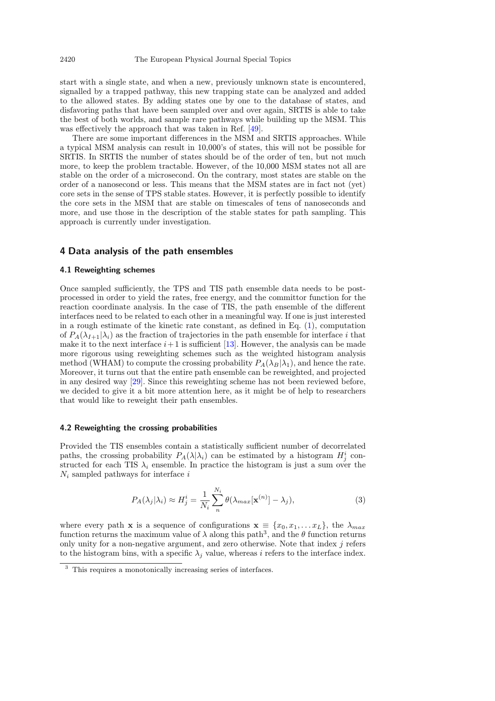start with a single state, and when a new, previously unknown state is encountered, signalled by a trapped pathway, this new trapping state can be analyzed and added to the allowed states. By adding states one by one to the database of states, and disfavoring paths that have been sampled over and over again, SRTIS is able to take the best of both worlds, and sample rare pathways while building up the MSM. This was effectively the approach that was taken in Ref. [\[49\]](#page-19-0).

There are some important differences in the MSM and SRTIS approaches. While a typical MSM analysis can result in 10,000's of states, this will not be possible for SRTIS. In SRTIS the number of states should be of the order of ten, but not much more, to keep the problem tractable. However, of the 10,000 MSM states not all are stable on the order of a microsecond. On the contrary, most states are stable on the order of a nanosecond or less. This means that the MSM states are in fact not (yet) core sets in the sense of TPS stable states. However, it is perfectly possible to identify the core sets in the MSM that are stable on timescales of tens of nanoseconds and more, and use those in the description of the stable states for path sampling. This approach is currently under investigation.

## 4 Data analysis of the path ensembles

#### 4.1 Reweighting schemes

Once sampled sufficiently, the TPS and TIS path ensemble data needs to be postprocessed in order to yield the rates, free energy, and the committor function for the reaction coordinate analysis. In the case of TIS, the path ensemble of the different interfaces need to be related to each other in a meaningful way. If one is just interested in a rough estimate of the kinetic rate constant, as defined in Eq. [\(1\)](#page-4-0), computation of  $P_A(\lambda_{I+1}|\lambda_i)$  as the fraction of trajectories in the path ensemble for interface i that make it to the next interface  $i+1$  is sufficient [\[13](#page-18-8)]. However, the analysis can be made more rigorous using reweighting schemes such as the weighted histogram analysis method (WHAM) to compute the crossing probability  $P_A(\lambda_B|\lambda_1)$ , and hence the rate. Moreover, it turns out that the entire path ensemble can be reweighted, and projected in any desired way [\[29](#page-18-23)]. Since this reweighting scheme has not been reviewed before, we decided to give it a bit more attention here, as it might be of help to researchers that would like to reweight their path ensembles.

#### 4.2 Reweighting the crossing probabilities

Provided the TIS ensembles contain a statistically sufficient number of decorrelated paths, the crossing probability  $P_A(\lambda|\lambda_i)$  can be estimated by a histogram  $H_j^i$  constructed for each TIS  $\lambda_i$  ensemble. In practice the histogram is just a sum over the  $N_i$  sampled pathways for interface i

$$
P_A(\lambda_j|\lambda_i) \approx H_j^i = \frac{1}{N_i} \sum_n^{N_i} \theta(\lambda_{max}[\mathbf{x}^{(n)}] - \lambda_j),
$$
\n(3)

where every path **x** is a sequence of configurations  $\mathbf{x} \equiv \{x_0, x_1, \dots x_L\}$ , the  $\lambda_{max}$ function returns the maximum value of  $\lambda$  along this path<sup>3</sup>, and the  $\theta$  function returns only unity for a non-negative argument, and zero otherwise. Note that index  $j$  refers to the histogram bins, with a specific  $\lambda_i$  value, whereas i refers to the interface index.

<sup>3</sup> This requires a monotonically increasing series of interfaces.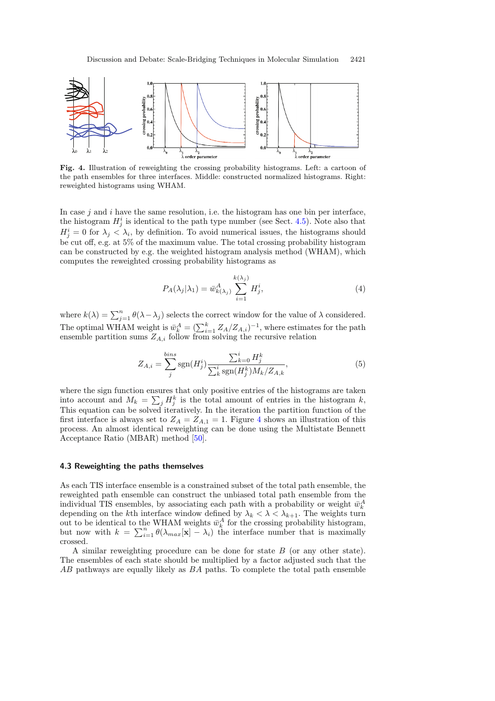<span id="page-13-0"></span>![](_page_13_Figure_1.jpeg)

Fig. 4. Illustration of reweighting the crossing probability histograms. Left: a cartoon of the path ensembles for three interfaces. Middle: constructed normalized histograms. Right: reweighted histograms using WHAM.

In case  $j$  and  $i$  have the same resolution, i.e. the histogram has one bin per interface, the histogram  $H_j^i$  is identical to the path type number (see Sect. [4.5\)](#page-14-0). Note also that  $H_j^i = 0$  for  $\lambda_j < \lambda_i$ , by definition. To avoid numerical issues, the histograms should be cut off, e.g. at 5% of the maximum value. The total crossing probability histogram can be constructed by e.g. the weighted histogram analysis method (WHAM), which computes the reweighted crossing probability histograms as

$$
P_A(\lambda_j|\lambda_1) = \bar{w}_{k(\lambda_j)}^A \sum_{i=1}^{k(\lambda_j)} H_j^i,
$$
\n(4)

where  $k(\lambda) = \sum_{j=1}^{n} \theta(\lambda - \lambda_j)$  selects the correct window for the value of  $\lambda$  considered. The optimal WHAM weight is  $\bar{w}_k^A = (\sum_{i=1}^k Z_A/Z_{A,i})^{-1}$ , where estimates for the path ensemble partition sums  $Z_{A,i}$  follow from solving the recursive relation

$$
Z_{A,i} = \sum_{j}^{bins} \text{sgn}(H_j^i) \frac{\sum_{k=0}^{i} H_j^k}{\sum_{k}^{i} \text{sgn}(H_j^k) M_k / Z_{A,k}},
$$
(5)

where the sign function ensures that only positive entries of the histograms are taken into account and  $M_k = \sum_j H_j^k$  is the total amount of entries in the histogram k, This equation can be solved iteratively. In the iteration the partition function of the first interface is always set to  $Z_A = Z_{A,1} = 1$ . Figure [4](#page-13-0) shows an illustration of this process. An almost identical reweighting can be done using the Multistate Bennett Acceptance Ratio (MBAR) method [\[50](#page-19-1)].

#### 4.3 Reweighting the paths themselves

As each TIS interface ensemble is a constrained subset of the total path ensemble, the reweighted path ensemble can construct the unbiased total path ensemble from the individual TIS ensembles, by associating each path with a probability or weight  $\bar{w}_k^A$ depending on the kth interface window defined by  $\lambda_k < \lambda < \lambda_{k+1}$ . The weights turn out to be identical to the WHAM weights  $\bar{w}_k^A$  for the crossing probability histogram, but now with  $k = \sum_{i=1}^{n} \theta(\lambda_{max}[\mathbf{x}] - \lambda_i)$  the interface number that is maximally crossed.

A similar reweighting procedure can be done for state  $B$  (or any other state). The ensembles of each state should be multiplied by a factor adjusted such that the AB pathways are equally likely as BA paths. To complete the total path ensemble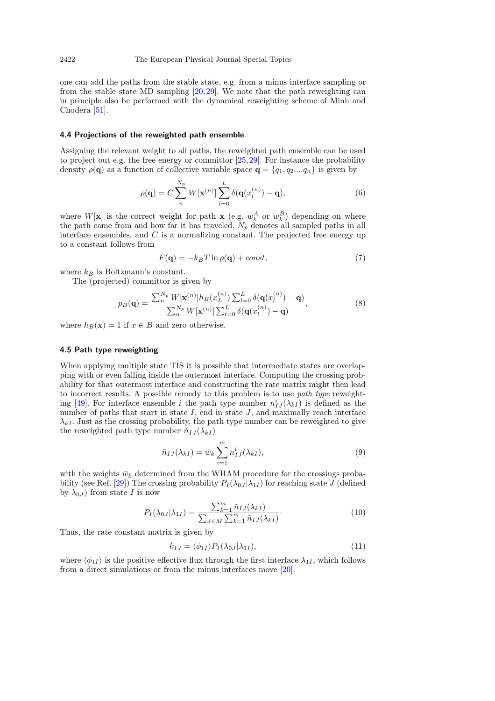one can add the paths from the stable state, e.g. from a minus interface sampling or from the stable state MD sampling [\[20](#page-18-14),[29\]](#page-18-23). We note that the path reweighting can in principle also be performed with the dynamical reweighting scheme of Minh and Chodera [\[51\]](#page-19-2).

#### 4.4 Projections of the reweighted path ensemble

Assigning the relevant weight to all paths, the reweighted path ensemble can be used to project out e.g. the free energy or committor [\[25](#page-18-19)[,29](#page-18-23)]. For instance the probability density  $\rho(\mathbf{q})$  as a function of collective variable space  $\mathbf{q} = \{q_1, q_2, ..., q_n\}$  is given by

$$
\rho(\mathbf{q}) = C \sum_{n}^{N_p} W[\mathbf{x}^{(n)}] \sum_{l=0}^{L} \delta(\mathbf{q}(x_l^{(n)}) - \mathbf{q}),
$$
\n(6)

where  $W[\mathbf{x}]$  is the correct weight for path  $\mathbf{x}$  (e.g.  $w_k^A$  or  $w_k^B$ ) depending on where the path came from and how far it has traveled,  $N_p$  denotes all sampled paths in all interface ensembles, and C is a normalizing constant. The projected free energy up to a constant follows from

$$
F(\mathbf{q}) = -k_B T \ln \rho(\mathbf{q}) + const,
$$
\n(7)

where  $k_B$  is Boltzmann's constant.

The (projected) committor is given by

$$
p_B(\mathbf{q}) = \frac{\sum_{n}^{N_p} W[\mathbf{x}^{(n)}] h_B(x_L^{(n)}) \sum_{l=0}^{L} \delta(\mathbf{q}(x_l^{(n)}) - \mathbf{q})}{\sum_{n}^{N_p} W[\mathbf{x}^{(n)}] \sum_{l=0}^{L} \delta(\mathbf{q}(x_l^{(n)}) - \mathbf{q})},
$$
(8)

where  $h_B(\mathbf{x}) = 1$  if  $x \in B$  and zero otherwise.

#### <span id="page-14-0"></span>4.5 Path type reweighting

When applying multiple state TIS it is possible that intermediate states are overlapping with or even falling inside the outermost interface. Computing the crossing probability for that outermost interface and constructing the rate matrix might then lead to incorrect results. A possible remedy to this problem is to use path type reweight-ing [\[49](#page-19-0)]. For interface ensemble *i* the path type number  $n_{IJ}^i(\lambda_{kI})$  is defined as the number of paths that start in state  $I$ , end in state  $J$ , and maximally reach interface  $\lambda_{kI}$ . Just as the crossing probability, the path type number can be reweighted to give the reweighted path type number  $\tilde{n}_{IJ}(\lambda_{kI})$ 

$$
\tilde{n}_{IJ}(\lambda_{kI}) = \bar{w}_k \sum_{i=1}^m n_{IJ}^i(\lambda_{kI}), \qquad (9)
$$

with the weights  $\bar{w}_k$  determined from the WHAM procedure for the crossings proba-bility (see Ref. [\[29](#page-18-23)]) The crossing probability  $P_I(\lambda_{0J}|\lambda_{1I})$  for reaching state J (defined by  $\lambda_{0J}$  from state I is now

$$
P_I(\lambda_{0J}|\lambda_{1I}) = \frac{\sum_{k=1}^m \tilde{n}_{IJ}(\lambda_{kI})}{\sum_{J \in M} \sum_{k=1}^m \tilde{n}_{IJ}(\lambda_{kI})}.
$$
\n(10)

Thus, the rate constant matrix is given by

$$
k_{IJ} = \langle \phi_{1I} \rangle P_I(\lambda_{0J} | \lambda_{1I}), \qquad (11)
$$

where  $\langle \phi_{1I} \rangle$  is the positive effective flux through the first interface  $\lambda_{1I}$ , which follows from a direct simulations or from the minus interfaces move [\[20](#page-18-14)].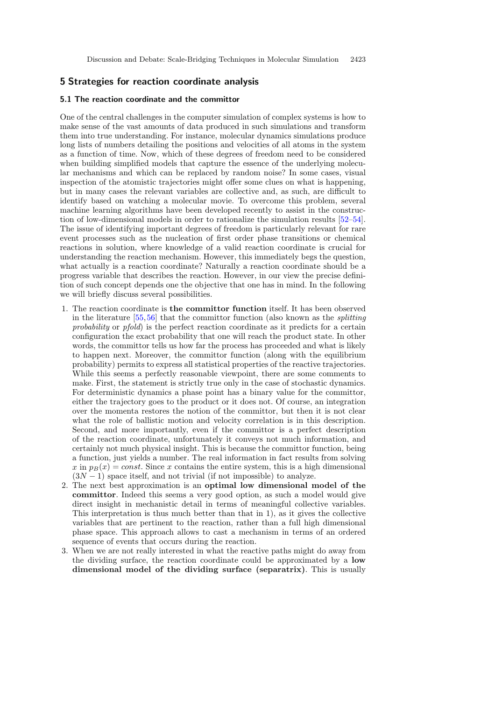## <span id="page-15-0"></span>5 Strategies for reaction coordinate analysis

#### 5.1 The reaction coordinate and the committor

One of the central challenges in the computer simulation of complex systems is how to make sense of the vast amounts of data produced in such simulations and transform them into true understanding. For instance, molecular dynamics simulations produce long lists of numbers detailing the positions and velocities of all atoms in the system as a function of time. Now, which of these degrees of freedom need to be considered when building simplified models that capture the essence of the underlying molecular mechanisms and which can be replaced by random noise? In some cases, visual inspection of the atomistic trajectories might offer some clues on what is happening, but in many cases the relevant variables are collective and, as such, are difficult to identify based on watching a molecular movie. To overcome this problem, several machine learning algorithms have been developed recently to assist in the construction of low-dimensional models in order to rationalize the simulation results [\[52](#page-19-3)[–54](#page-19-4)]. The issue of identifying important degrees of freedom is particularly relevant for rare event processes such as the nucleation of first order phase transitions or chemical reactions in solution, where knowledge of a valid reaction coordinate is crucial for understanding the reaction mechanism. However, this immediately begs the question, what actually is a reaction coordinate? Naturally a reaction coordinate should be a progress variable that describes the reaction. However, in our view the precise definition of such concept depends one the objective that one has in mind. In the following we will briefly discuss several possibilities.

- 1. The reaction coordinate is the committor function itself. It has been observed in the literature [\[55](#page-19-5)[,56](#page-19-6)] that the committor function (also known as the splitting probability or pfold) is the perfect reaction coordinate as it predicts for a certain configuration the exact probability that one will reach the product state. In other words, the committor tells us how far the process has proceeded and what is likely to happen next. Moreover, the committor function (along with the equilibrium probability) permits to express all statistical properties of the reactive trajectories. While this seems a perfectly reasonable viewpoint, there are some comments to make. First, the statement is strictly true only in the case of stochastic dynamics. For deterministic dynamics a phase point has a binary value for the committor, either the trajectory goes to the product or it does not. Of course, an integration over the momenta restores the notion of the committor, but then it is not clear what the role of ballistic motion and velocity correlation is in this description. Second, and more importantly, even if the committor is a perfect description of the reaction coordinate, unfortunately it conveys not much information, and certainly not much physical insight. This is because the committor function, being a function, just yields a number. The real information in fact results from solving x in  $p_B(x) = const.$  Since x contains the entire system, this is a high dimensional  $(3N-1)$  space itself, and not trivial (if not impossible) to analyze.
- 2. The next best approximation is an optimal low dimensional model of the committor. Indeed this seems a very good option, as such a model would give direct insight in mechanistic detail in terms of meaningful collective variables. This interpretation is thus much better than that in 1), as it gives the collective variables that are pertinent to the reaction, rather than a full high dimensional phase space. This approach allows to cast a mechanism in terms of an ordered sequence of events that occurs during the reaction.
- 3. When we are not really interested in what the reactive paths might do away from the dividing surface, the reaction coordinate could be approximated by a low dimensional model of the dividing surface (separatrix). This is usually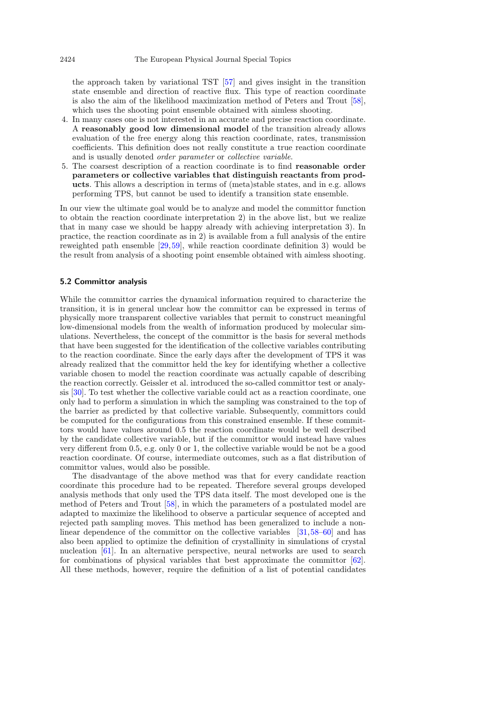the approach taken by variational TST [\[57\]](#page-19-7) and gives insight in the transition state ensemble and direction of reactive flux. This type of reaction coordinate is also the aim of the likelihood maximization method of Peters and Trout [\[58](#page-19-8)], which uses the shooting point ensemble obtained with aimless shooting.

- 4. In many cases one is not interested in an accurate and precise reaction coordinate. A reasonably good low dimensional model of the transition already allows evaluation of the free energy along this reaction coordinate, rates, transmission coefficients. This definition does not really constitute a true reaction coordinate and is usually denoted order parameter or collective variable.
- 5. The coarsest description of a reaction coordinate is to find reasonable order parameters or collective variables that distinguish reactants from products. This allows a description in terms of (meta)stable states, and in e.g. allows performing TPS, but cannot be used to identify a transition state ensemble.

In our view the ultimate goal would be to analyze and model the committor function to obtain the reaction coordinate interpretation 2) in the above list, but we realize that in many case we should be happy already with achieving interpretation 3). In practice, the reaction coordinate as in 2) is available from a full analysis of the entire reweighted path ensemble [\[29,](#page-18-23)[59](#page-19-9)], while reaction coordinate definition 3) would be the result from analysis of a shooting point ensemble obtained with aimless shooting.

#### 5.2 Committor analysis

While the committor carries the dynamical information required to characterize the transition, it is in general unclear how the committor can be expressed in terms of physically more transparent collective variables that permit to construct meaningful low-dimensional models from the wealth of information produced by molecular simulations. Nevertheless, the concept of the committor is the basis for several methods that have been suggested for the identification of the collective variables contributing to the reaction coordinate. Since the early days after the development of TPS it was already realized that the committor held the key for identifying whether a collective variable chosen to model the reaction coordinate was actually capable of describing the reaction correctly. Geissler et al. introduced the so-called committor test or analysis [\[30](#page-18-24)]. To test whether the collective variable could act as a reaction coordinate, one only had to perform a simulation in which the sampling was constrained to the top of the barrier as predicted by that collective variable. Subsequently, committors could be computed for the configurations from this constrained ensemble. If these committors would have values around 0.5 the reaction coordinate would be well described by the candidate collective variable, but if the committor would instead have values very different from 0.5, e.g. only 0 or 1, the collective variable would be not be a good reaction coordinate. Of course, intermediate outcomes, such as a flat distribution of committor values, would also be possible.

The disadvantage of the above method was that for every candidate reaction coordinate this procedure had to be repeated. Therefore several groups developed analysis methods that only used the TPS data itself. The most developed one is the method of Peters and Trout [\[58](#page-19-8)], in which the parameters of a postulated model are adapted to maximize the likelihood to observe a particular sequence of accepted and rejected path sampling moves. This method has been generalized to include a nonlinear dependence of the committor on the collective variables [\[31,](#page-18-25)[58](#page-19-8)[–60](#page-19-10)] and has also been applied to optimize the definition of crystallinity in simulations of crystal nucleation [\[61](#page-19-11)]. In an alternative perspective, neural networks are used to search for combinations of physical variables that best approximate the committor  $[62]$  $[62]$ . All these methods, however, require the definition of a list of potential candidates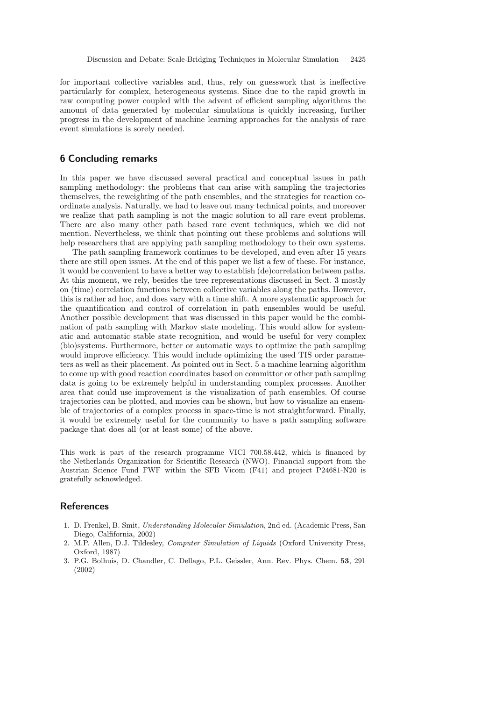for important collective variables and, thus, rely on guesswork that is ineffective particularly for complex, heterogeneous systems. Since due to the rapid growth in raw computing power coupled with the advent of efficient sampling algorithms the amount of data generated by molecular simulations is quickly increasing, further progress in the development of machine learning approaches for the analysis of rare event simulations is sorely needed.

## 6 Concluding remarks

In this paper we have discussed several practical and conceptual issues in path sampling methodology: the problems that can arise with sampling the trajectories themselves, the reweighting of the path ensembles, and the strategies for reaction coordinate analysis. Naturally, we had to leave out many technical points, and moreover we realize that path sampling is not the magic solution to all rare event problems. There are also many other path based rare event techniques, which we did not mention. Nevertheless, we think that pointing out these problems and solutions will help researchers that are applying path sampling methodology to their own systems.

The path sampling framework continues to be developed, and even after 15 years there are still open issues. At the end of this paper we list a few of these. For instance, it would be convenient to have a better way to establish (de)correlation between paths. At this moment, we rely, besides the tree representations discussed in Sect. 3 mostly on (time) correlation functions between collective variables along the paths. However, this is rather ad hoc, and does vary with a time shift. A more systematic approach for the quantification and control of correlation in path ensembles would be useful. Another possible development that was discussed in this paper would be the combination of path sampling with Markov state modeling. This would allow for systematic and automatic stable state recognition, and would be useful for very complex (bio)systems. Furthermore, better or automatic ways to optimize the path sampling would improve efficiency. This would include optimizing the used TIS order parameters as well as their placement. As pointed out in Sect. 5 a machine learning algorithm to come up with good reaction coordinates based on committor or other path sampling data is going to be extremely helpful in understanding complex processes. Another area that could use improvement is the visualization of path ensembles. Of course trajectories can be plotted, and movies can be shown, but how to visualize an ensemble of trajectories of a complex process in space-time is not straightforward. Finally, it would be extremely useful for the community to have a path sampling software package that does all (or at least some) of the above.

This work is part of the research programme VICI 700.58.442, which is financed by the Netherlands Organization for Scientific Research (NWO). Financial support from the Austrian Science Fund FWF within the SFB Vicom (F41) and project P24681-N20 is gratefully acknowledged.

## <span id="page-17-0"></span>References

- 1. D. Frenkel, B. Smit, Understanding Molecular Simulation, 2nd ed. (Academic Press, San Diego, Calfifornia, 2002)
- <span id="page-17-1"></span>2. M.P. Allen, D.J. Tildesley, Computer Simulation of Liquids (Oxford University Press, Oxford, 1987)
- <span id="page-17-2"></span>3. P.G. Bolhuis, D. Chandler, C. Dellago, P.L. Geissler, Ann. Rev. Phys. Chem. 53, 291 (2002)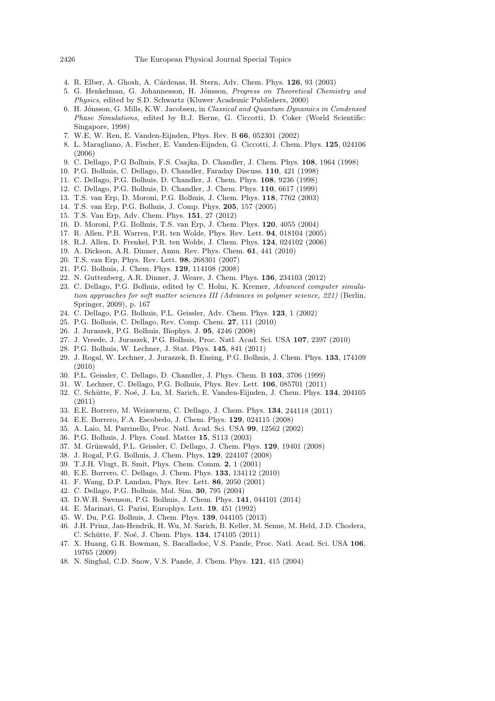- <span id="page-18-0"></span>4. R. Elber, A. Ghosh, A. Cárdenas, H. Stern, Adv. Chem. Phys. **126**, 93 (2003)
- <span id="page-18-1"></span>5. G. Henkelman, G. Johannesson, H. Jónsson, Progress on Theoretical Chemistry and Physics, edited by S.D. Schwartz (Kluwer Academic Publishers, 2000)
- <span id="page-18-2"></span>6. H. Jónsson, G. Mills, K.W. Jacobsen, in Classical and Quantum Dynamics in Condensed Phase Simulations, edited by B.J. Berne, G. Ciccotti, D. Coker (World Scientific: Singapore, 1998)
- <span id="page-18-3"></span>7. W.E, W. Ren, E. Vanden-Eijnden, Phys. Rev. B 66, 052301 (2002)
- <span id="page-18-4"></span>8. L. Maragliano, A. Fischer, E. Vanden-Eijnden, G. Ciccotti, J. Chem. Phys. 125, 024106 (2006)
- 9. C. Dellago, P.G Bolhuis, F.S. Csajka, D. Chandler, J. Chem. Phys. 108, 1964 (1998)
- <span id="page-18-7"></span><span id="page-18-5"></span>10. P.G. Bolhuis, C. Dellago, D. Chandler, Faraday Discuss. 110, 421 (1998)
- 11. C. Dellago, P.G. Bolhuis, D. Chandler, J. Chem. Phys. 108, 9236 (1998)
- <span id="page-18-6"></span>12. C. Dellago, P.G. Bolhuis, D. Chandler, J. Chem. Phys. 110, 6617 (1999)
- <span id="page-18-8"></span>13. T.S. van Erp, D. Moroni, P.G. Bolhuis, J. Chem. Phys. 118, 7762 (2003)
- 14. T.S. van Erp, P.G. Bolhuis, J. Comp. Phys. 205, 157 (2005)
- <span id="page-18-9"></span>15. T.S. Van Erp, Adv. Chem. Phys. 151, 27 (2012)
- <span id="page-18-10"></span>16. D. Moroni, P.G. Bolhuis, T.S. van Erp, J. Chem. Phys. 120, 4055 (2004)
- <span id="page-18-11"></span>17. R. Allen, P.B. Warren, P.R. ten Wolde, Phys. Rev. Lett. 94, 018104 (2005)
- <span id="page-18-12"></span>18. R.J. Allen, D. Frenkel, P.R. ten Wolde, J. Chem. Phys. 124, 024102 (2006)
- <span id="page-18-13"></span>19. A. Dickson, A.R. Dinner, Annu. Rev. Phys. Chem. 61, 441 (2010)
- <span id="page-18-14"></span>20. T.S. van Erp, Phys. Rev. Lett. 98, 268301 (2007)
- <span id="page-18-15"></span>21. P.G. Bolhuis, J. Chem. Phys. 129, 114108 (2008)
- <span id="page-18-16"></span>22. N. Guttenberg, A.R. Dinner, J. Weare, J. Chem. Phys. 136, 234103 (2012)
- <span id="page-18-17"></span>23. C. Dellago, P.G. Bolhuis, edited by C. Holm, K. Kremer, Advanced computer simulation approaches for soft matter sciences III (Advances in polymer science, 221) (Berlin, Springer, 2009), p. 167
- <span id="page-18-18"></span>24. C. Dellago, P.G. Bolhuis, P.L. Geissler, Adv. Chem. Phys. 123, 1 (2002)
- <span id="page-18-19"></span>25. P.G. Bolhuis, C. Dellago, Rev. Comp. Chem. 27, 111 (2010)
- <span id="page-18-20"></span>26. J. Juraszek, P.G. Bolhuis, Biophys. J. 95, 4246 (2008)
- <span id="page-18-21"></span>27. J. Vreede, J. Juraszek, P.G. Bolhuis, Proc. Natl. Acad. Sci. USA 107, 2397 (2010)
- <span id="page-18-22"></span>28. P.G. Bolhuis, W. Lechner, J. Stat. Phys. 145, 841 (2011)
- <span id="page-18-23"></span>29. J. Rogal, W. Lechner, J. Juraszek, B. Ensing, P.G. Bolhuis, J. Chem. Phys. 133, 174109 (2010)
- <span id="page-18-24"></span>30. P.L. Geissler, C. Dellago, D. Chandler, J. Phys. Chem. B 103, 3706 (1999)
- <span id="page-18-25"></span>31. W. Lechner, C. Dellago, P.G. Bolhuis, Phys. Rev. Lett. 106, 085701 (2011)
- <span id="page-18-26"></span>32. C. Schütte, F. Noé, J. Lu, M. Sarich, E. Vanden-Eijnden, J. Chem. Phys. 134, 204105 (2011)
- <span id="page-18-27"></span>33. E.E. Borrero, M. Weinwurm, C. Dellago, J. Chem. Phys. <sup>134</sup>, 244118 (2011)
- <span id="page-18-28"></span>34. E.E. Borrero, F.A. Escobedo, J. Chem. Phys. 129, 024115 (2008)
- <span id="page-18-29"></span>35. A. Laio, M. Parrinello, Proc. Natl. Acad. Sci. USA 99, 12562 (2002)
- <span id="page-18-30"></span>36. P.G. Bolhuis, J. Phys. Cond. Matter 15, S113 (2003)
- <span id="page-18-31"></span>37. M. Grünwald, P.L. Geissler, C. Dellago, J. Chem. Phys. 129, 19401 (2008)
- <span id="page-18-32"></span>38. J. Rogal, P.G. Bolhuis, J. Chem. Phys. 129, 224107 (2008)
- <span id="page-18-33"></span>39. T.J.H. Vlugt, B. Smit, Phys. Chem. Comm. 2, 1 (2001)
- <span id="page-18-34"></span>40. E.E. Borrero, C. Dellago, J. Chem. Phys. 133, 134112 (2010)
- <span id="page-18-35"></span>41. F. Wang, D.P. Landau, Phys. Rev. Lett. 86, 2050 (2001)
- <span id="page-18-36"></span>42. C. Dellago, P.G. Bolhuis, Mol. Sim. 30, 795 (2004)
- <span id="page-18-37"></span>43. D.W.H. Swenson, P.G. Bolhuis, J. Chem. Phys. 141, 044101 (2014)
- <span id="page-18-38"></span>44. E. Marinari, G. Parisi, Europhys. Lett. 19, 451 (1992)
- <span id="page-18-39"></span>45. W. Du, P.G. Bolhuis, J. Chem. Phys. 139, 044105 (2013)
- <span id="page-18-40"></span>46. J.H. Prinz, Jan-Hendrik, H. Wu, M. Sarich, B. Keller, M. Senne, M. Held, J.D. Chodera, C. Schütte, F. Noé, J. Chem. Phys. 134, 174105 (2011)
- <span id="page-18-41"></span>47. X. Huang, G.R. Bowman, S. Bacalladoc, V.S. Pande, Proc. Natl. Acad. Sci. USA 106, 19765 (2009)
- <span id="page-18-42"></span>48. N. Singhal, C.D. Snow, V.S. Pande, J. Chem. Phys. 121, 415 (2004)